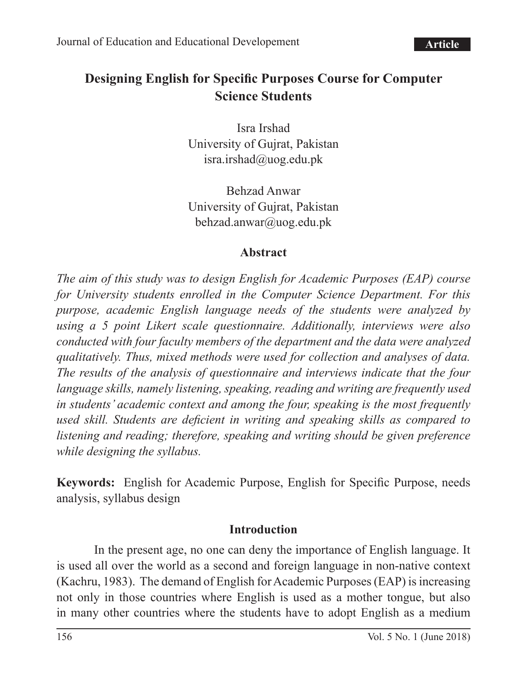# **Designing English for Specific Purposes Course for Computer Science Students**

Isra Irshad University of Gujrat, Pakistan isra.irshad@uog.edu.pk

Behzad Anwar University of Gujrat, Pakistan behzad.anwar@uog.edu.pk

#### **Abstract**

*The aim of this study was to design English for Academic Purposes (EAP) course for University students enrolled in the Computer Science Department. For this purpose, academic English language needs of the students were analyzed by using a 5 point Likert scale questionnaire. Additionally, interviews were also conducted with four faculty members of the department and the data were analyzed qualitatively. Thus, mixed methods were used for collection and analyses of data. The results of the analysis of questionnaire and interviews indicate that the four language skills, namely listening, speaking, reading and writing are frequently used in students' academic context and among the four, speaking is the most frequently used skill. Students are deficient in writing and speaking skills as compared to listening and reading; therefore, speaking and writing should be given preference while designing the syllabus.*

**Keywords:** English for Academic Purpose, English for Specific Purpose, needs analysis, syllabus design

#### **Introduction**

In the present age, no one can deny the importance of English language. It is used all over the world as a second and foreign language in non-native context (Kachru, 1983). The demand of English for Academic Purposes (EAP) is increasing not only in those countries where English is used as a mother tongue, but also in many other countries where the students have to adopt English as a medium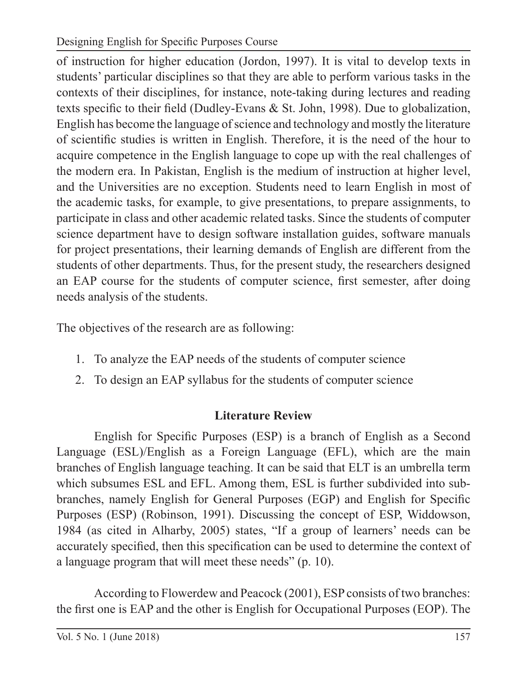Designing English for Specific Purposes Course

of instruction for higher education (Jordon, 1997). It is vital to develop texts in students' particular disciplines so that they are able to perform various tasks in the contexts of their disciplines, for instance, note-taking during lectures and reading texts specific to their field (Dudley-Evans & St. John, 1998). Due to globalization, English has become the language of science and technology and mostly the literature of scientific studies is written in English. Therefore, it is the need of the hour to acquire competence in the English language to cope up with the real challenges of the modern era. In Pakistan, English is the medium of instruction at higher level, and the Universities are no exception. Students need to learn English in most of the academic tasks, for example, to give presentations, to prepare assignments, to participate in class and other academic related tasks. Since the students of computer science department have to design software installation guides, software manuals for project presentations, their learning demands of English are different from the students of other departments. Thus, for the present study, the researchers designed an EAP course for the students of computer science, first semester, after doing needs analysis of the students.

The objectives of the research are as following:

- 1. To analyze the EAP needs of the students of computer science
- 2. To design an EAP syllabus for the students of computer science

# **Literature Review**

English for Specific Purposes (ESP) is a branch of English as a Second Language (ESL)/English as a Foreign Language (EFL), which are the main branches of English language teaching. It can be said that ELT is an umbrella term which subsumes ESL and EFL. Among them, ESL is further subdivided into subbranches, namely English for General Purposes (EGP) and English for Specific Purposes (ESP) (Robinson, 1991). Discussing the concept of ESP, Widdowson, 1984 (as cited in Alharby, 2005) states, "If a group of learners' needs can be accurately specified, then this specification can be used to determine the context of a language program that will meet these needs" (p. 10).

According to Flowerdew and Peacock (2001), ESP consists of two branches: the first one is EAP and the other is English for Occupational Purposes (EOP). The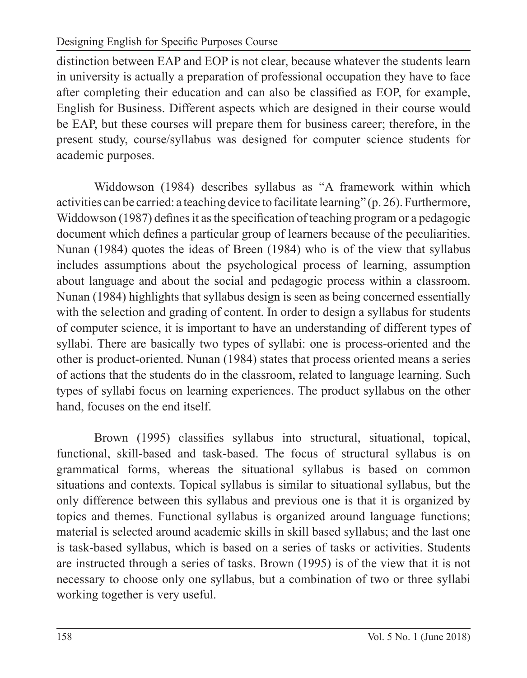Designing English for Specific Purposes Course

distinction between EAP and EOP is not clear, because whatever the students learn in university is actually a preparation of professional occupation they have to face after completing their education and can also be classified as EOP, for example, English for Business. Different aspects which are designed in their course would be EAP, but these courses will prepare them for business career; therefore, in the present study, course/syllabus was designed for computer science students for academic purposes.

Widdowson (1984) describes syllabus as "A framework within which activities can be carried: a teaching device to facilitate learning" (p. 26). Furthermore, Widdowson (1987) defines it as the specification of teaching program or a pedagogic document which defines a particular group of learners because of the peculiarities. Nunan (1984) quotes the ideas of Breen (1984) who is of the view that syllabus includes assumptions about the psychological process of learning, assumption about language and about the social and pedagogic process within a classroom. Nunan (1984) highlights that syllabus design is seen as being concerned essentially with the selection and grading of content. In order to design a syllabus for students of computer science, it is important to have an understanding of different types of syllabi. There are basically two types of syllabi: one is process-oriented and the other is product-oriented. Nunan (1984) states that process oriented means a series of actions that the students do in the classroom, related to language learning. Such types of syllabi focus on learning experiences. The product syllabus on the other hand, focuses on the end itself.

Brown (1995) classifies syllabus into structural, situational, topical, functional, skill-based and task-based. The focus of structural syllabus is on grammatical forms, whereas the situational syllabus is based on common situations and contexts. Topical syllabus is similar to situational syllabus, but the only difference between this syllabus and previous one is that it is organized by topics and themes. Functional syllabus is organized around language functions; material is selected around academic skills in skill based syllabus; and the last one is task-based syllabus, which is based on a series of tasks or activities. Students are instructed through a series of tasks. Brown (1995) is of the view that it is not necessary to choose only one syllabus, but a combination of two or three syllabi working together is very useful.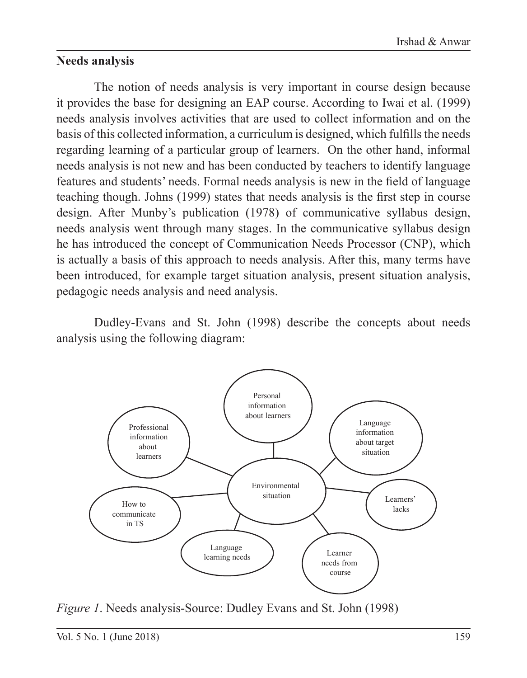### **Needs analysis**

The notion of needs analysis is very important in course design because it provides the base for designing an EAP course. According to Iwai et al. (1999) needs analysis involves activities that are used to collect information and on the basis of this collected information, a curriculum is designed, which fulfills the needs regarding learning of a particular group of learners. On the other hand, informal needs analysis is not new and has been conducted by teachers to identify language features and students' needs. Formal needs analysis is new in the field of language teaching though. Johns (1999) states that needs analysis is the first step in course design. After Munby's publication (1978) of communicative syllabus design, needs analysis went through many stages. In the communicative syllabus design he has introduced the concept of Communication Needs Processor (CNP), which is actually a basis of this approach to needs analysis. After this, many terms have been introduced, for example target situation analysis, present situation analysis, pedagogic needs analysis and need analysis.

Dudley-Evans and St. John (1998) describe the concepts about needs analysis using the following diagram:



*Figure 1*. Needs analysis-Source: Dudley Evans and St. John (1998)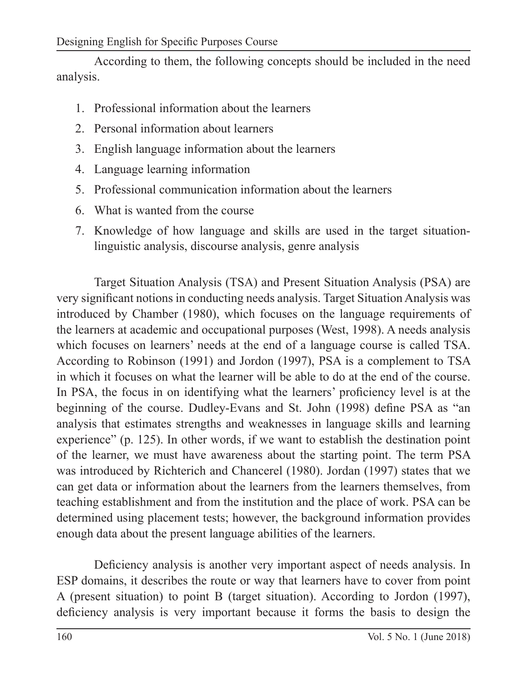According to them, the following concepts should be included in the need analysis.

- 1. Professional information about the learners
- 2. Personal information about learners
- 3. English language information about the learners
- 4. Language learning information
- 5. Professional communication information about the learners
- 6. What is wanted from the course
- 7. Knowledge of how language and skills are used in the target situationlinguistic analysis, discourse analysis, genre analysis

Target Situation Analysis (TSA) and Present Situation Analysis (PSA) are very significant notions in conducting needs analysis. Target Situation Analysis was introduced by Chamber (1980), which focuses on the language requirements of the learners at academic and occupational purposes (West, 1998). A needs analysis which focuses on learners' needs at the end of a language course is called TSA. According to Robinson (1991) and Jordon (1997), PSA is a complement to TSA in which it focuses on what the learner will be able to do at the end of the course. In PSA, the focus in on identifying what the learners' proficiency level is at the beginning of the course. Dudley-Evans and St. John (1998) define PSA as "an analysis that estimates strengths and weaknesses in language skills and learning experience" (p. 125). In other words, if we want to establish the destination point of the learner, we must have awareness about the starting point. The term PSA was introduced by Richterich and Chancerel (1980). Jordan (1997) states that we can get data or information about the learners from the learners themselves, from teaching establishment and from the institution and the place of work. PSA can be determined using placement tests; however, the background information provides enough data about the present language abilities of the learners.

Deficiency analysis is another very important aspect of needs analysis. In ESP domains, it describes the route or way that learners have to cover from point A (present situation) to point B (target situation). According to Jordon (1997), deficiency analysis is very important because it forms the basis to design the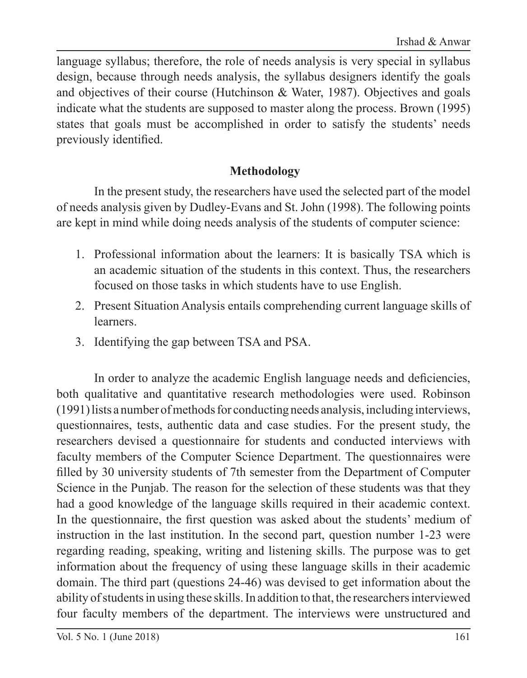language syllabus; therefore, the role of needs analysis is very special in syllabus design, because through needs analysis, the syllabus designers identify the goals and objectives of their course (Hutchinson & Water, 1987). Objectives and goals indicate what the students are supposed to master along the process. Brown (1995) states that goals must be accomplished in order to satisfy the students' needs previously identified.

### **Methodology**

In the present study, the researchers have used the selected part of the model of needs analysis given by Dudley-Evans and St. John (1998). The following points are kept in mind while doing needs analysis of the students of computer science:

- 1. Professional information about the learners: It is basically TSA which is an academic situation of the students in this context. Thus, the researchers focused on those tasks in which students have to use English.
- 2. Present Situation Analysis entails comprehending current language skills of learners.
- 3. Identifying the gap between TSA and PSA.

In order to analyze the academic English language needs and deficiencies, both qualitative and quantitative research methodologies were used. Robinson (1991) lists a number of methods for conducting needs analysis, including interviews, questionnaires, tests, authentic data and case studies. For the present study, the researchers devised a questionnaire for students and conducted interviews with faculty members of the Computer Science Department. The questionnaires were filled by 30 university students of 7th semester from the Department of Computer Science in the Punjab. The reason for the selection of these students was that they had a good knowledge of the language skills required in their academic context. In the questionnaire, the first question was asked about the students' medium of instruction in the last institution. In the second part, question number 1-23 were regarding reading, speaking, writing and listening skills. The purpose was to get information about the frequency of using these language skills in their academic domain. The third part (questions 24-46) was devised to get information about the ability of students in using these skills. In addition to that, the researchers interviewed four faculty members of the department. The interviews were unstructured and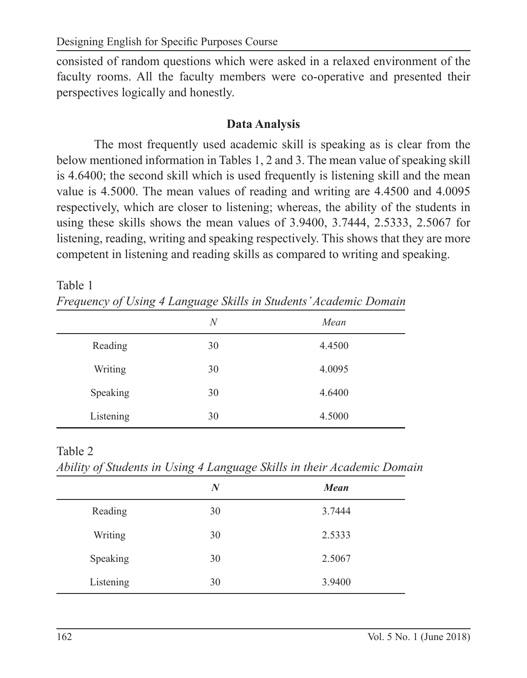consisted of random questions which were asked in a relaxed environment of the faculty rooms. All the faculty members were co-operative and presented their perspectives logically and honestly.

#### **Data Analysis**

The most frequently used academic skill is speaking as is clear from the below mentioned information in Tables 1, 2 and 3. The mean value of speaking skill is 4.6400; the second skill which is used frequently is listening skill and the mean value is 4.5000. The mean values of reading and writing are 4.4500 and 4.0095 respectively, which are closer to listening; whereas, the ability of the students in using these skills shows the mean values of 3.9400, 3.7444, 2.5333, 2.5067 for listening, reading, writing and speaking respectively. This shows that they are more competent in listening and reading skills as compared to writing and speaking.

Table 1 *Frequency of Using 4 Language Skills in Students' Academic Domain*

| $\check{ }$ |        |
|-------------|--------|
| N           | Mean   |
| 30          | 4.4500 |
| 30          | 4.0095 |
| 30          | 4.6400 |
| 30          | 4.5000 |
|             |        |

Table 2

*Ability of Students in Using 4 Language Skills in their Academic Domain*

| $\mathcal{L}$ $\mathcal{L}$ | $\check{ }$<br>$\check{ }$<br><u>_</u> |             |
|-----------------------------|----------------------------------------|-------------|
|                             | $\bm{N}$                               | <b>Mean</b> |
| Reading                     | 30                                     | 3.7444      |
| Writing                     | 30                                     | 2.5333      |
| Speaking                    | 30                                     | 2.5067      |
| Listening                   | 30                                     | 3.9400      |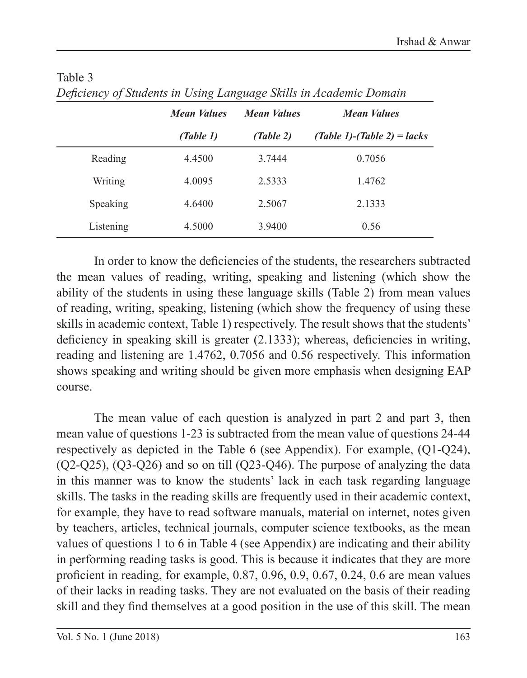|           | <b>Mean Values</b> | <b>Mean Values</b> | <b>Mean Values</b>          |
|-----------|--------------------|--------------------|-----------------------------|
|           | (Table 1)          | (Table 2)          | (Table 1)-(Table 2) = lacks |
| Reading   | 4.4500             | 3.7444             | 0.7056                      |
| Writing   | 4.0095             | 2.5333             | 1.4762                      |
| Speaking  | 4.6400             | 2.5067             | 2.1333                      |
| Listening | 4.5000             | 3.9400             | 0.56                        |

#### Table 3 *Deficiency of Students in Using Language Skills in Academic Domain*

In order to know the deficiencies of the students, the researchers subtracted the mean values of reading, writing, speaking and listening (which show the ability of the students in using these language skills (Table 2) from mean values of reading, writing, speaking, listening (which show the frequency of using these skills in academic context, Table 1) respectively. The result shows that the students' deficiency in speaking skill is greater  $(2.1333)$ ; whereas, deficiencies in writing, reading and listening are 1.4762, 0.7056 and 0.56 respectively. This information shows speaking and writing should be given more emphasis when designing EAP course.

The mean value of each question is analyzed in part 2 and part 3, then mean value of questions 1-23 is subtracted from the mean value of questions 24-44 respectively as depicted in the Table 6 (see Appendix). For example, (Q1-Q24), (Q2-Q25), (Q3-Q26) and so on till (Q23-Q46). The purpose of analyzing the data in this manner was to know the students' lack in each task regarding language skills. The tasks in the reading skills are frequently used in their academic context, for example, they have to read software manuals, material on internet, notes given by teachers, articles, technical journals, computer science textbooks, as the mean values of questions 1 to 6 in Table 4 (see Appendix) are indicating and their ability in performing reading tasks is good. This is because it indicates that they are more proficient in reading, for example, 0.87, 0.96, 0.9, 0.67, 0.24, 0.6 are mean values of their lacks in reading tasks. They are not evaluated on the basis of their reading skill and they find themselves at a good position in the use of this skill. The mean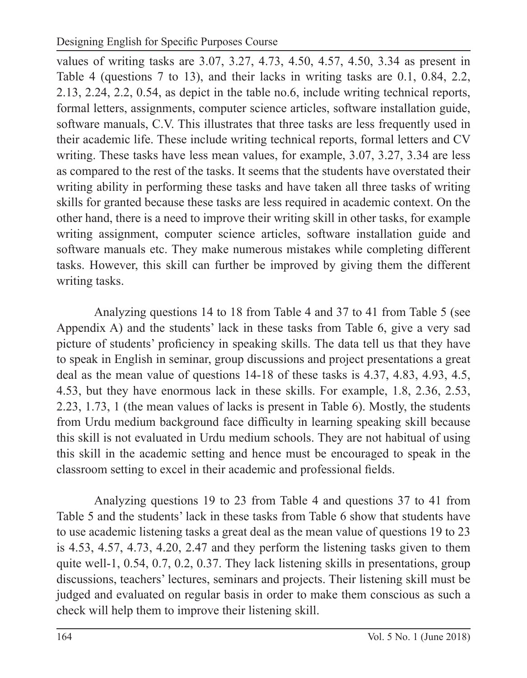values of writing tasks are 3.07, 3.27, 4.73, 4.50, 4.57, 4.50, 3.34 as present in Table 4 (questions 7 to 13), and their lacks in writing tasks are 0.1, 0.84, 2.2, 2.13, 2.24, 2.2, 0.54, as depict in the table no.6, include writing technical reports, formal letters, assignments, computer science articles, software installation guide, software manuals, C.V. This illustrates that three tasks are less frequently used in their academic life. These include writing technical reports, formal letters and CV writing. These tasks have less mean values, for example, 3.07, 3.27, 3.34 are less as compared to the rest of the tasks. It seems that the students have overstated their writing ability in performing these tasks and have taken all three tasks of writing skills for granted because these tasks are less required in academic context. On the other hand, there is a need to improve their writing skill in other tasks, for example writing assignment, computer science articles, software installation guide and software manuals etc. They make numerous mistakes while completing different tasks. However, this skill can further be improved by giving them the different writing tasks.

Analyzing questions 14 to 18 from Table 4 and 37 to 41 from Table 5 (see Appendix A) and the students' lack in these tasks from Table 6, give a very sad picture of students' proficiency in speaking skills. The data tell us that they have to speak in English in seminar, group discussions and project presentations a great deal as the mean value of questions 14-18 of these tasks is 4.37, 4.83, 4.93, 4.5, 4.53, but they have enormous lack in these skills. For example, 1.8, 2.36, 2.53, 2.23, 1.73, 1 (the mean values of lacks is present in Table 6). Mostly, the students from Urdu medium background face difficulty in learning speaking skill because this skill is not evaluated in Urdu medium schools. They are not habitual of using this skill in the academic setting and hence must be encouraged to speak in the classroom setting to excel in their academic and professional fields.

Analyzing questions 19 to 23 from Table 4 and questions 37 to 41 from Table 5 and the students' lack in these tasks from Table 6 show that students have to use academic listening tasks a great deal as the mean value of questions 19 to 23 is 4.53, 4.57, 4.73, 4.20, 2.47 and they perform the listening tasks given to them quite well-1, 0.54, 0.7, 0.2, 0.37. They lack listening skills in presentations, group discussions, teachers' lectures, seminars and projects. Their listening skill must be judged and evaluated on regular basis in order to make them conscious as such a check will help them to improve their listening skill.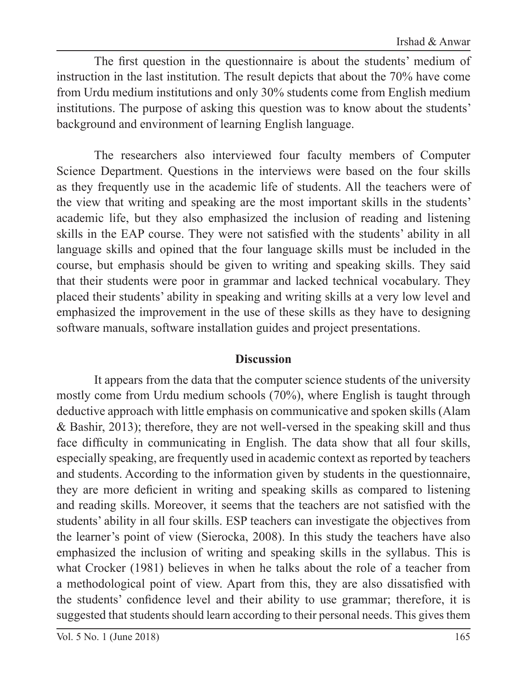The first question in the questionnaire is about the students' medium of instruction in the last institution. The result depicts that about the 70% have come from Urdu medium institutions and only 30% students come from English medium institutions. The purpose of asking this question was to know about the students' background and environment of learning English language.

The researchers also interviewed four faculty members of Computer Science Department. Questions in the interviews were based on the four skills as they frequently use in the academic life of students. All the teachers were of the view that writing and speaking are the most important skills in the students' academic life, but they also emphasized the inclusion of reading and listening skills in the EAP course. They were not satisfied with the students' ability in all language skills and opined that the four language skills must be included in the course, but emphasis should be given to writing and speaking skills. They said that their students were poor in grammar and lacked technical vocabulary. They placed their students' ability in speaking and writing skills at a very low level and emphasized the improvement in the use of these skills as they have to designing software manuals, software installation guides and project presentations.

#### **Discussion**

It appears from the data that the computer science students of the university mostly come from Urdu medium schools (70%), where English is taught through deductive approach with little emphasis on communicative and spoken skills (Alam & Bashir, 2013); therefore, they are not well-versed in the speaking skill and thus face difficulty in communicating in English. The data show that all four skills, especially speaking, are frequently used in academic context as reported by teachers and students. According to the information given by students in the questionnaire, they are more deficient in writing and speaking skills as compared to listening and reading skills. Moreover, it seems that the teachers are not satisfied with the students' ability in all four skills. ESP teachers can investigate the objectives from the learner's point of view (Sierocka, 2008). In this study the teachers have also emphasized the inclusion of writing and speaking skills in the syllabus. This is what Crocker (1981) believes in when he talks about the role of a teacher from a methodological point of view. Apart from this, they are also dissatisfied with the students' confidence level and their ability to use grammar; therefore, it is suggested that students should learn according to their personal needs. This gives them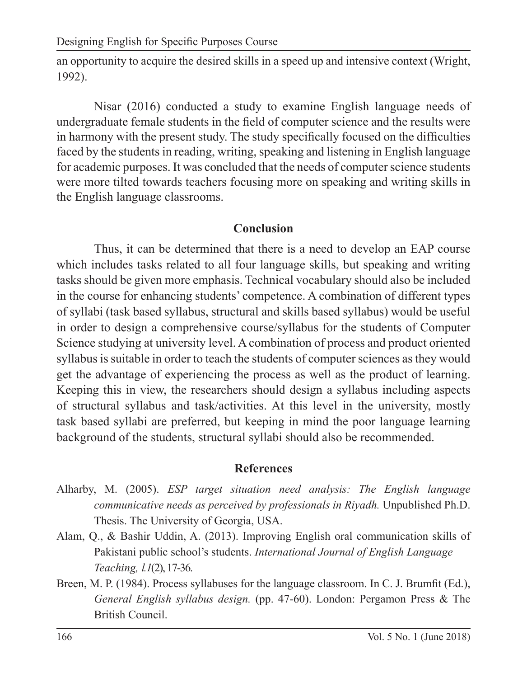an opportunity to acquire the desired skills in a speed up and intensive context (Wright, 1992).

Nisar (2016) conducted a study to examine English language needs of undergraduate female students in the field of computer science and the results were in harmony with the present study. The study specifically focused on the difficulties faced by the students in reading, writing, speaking and listening in English language for academic purposes. It was concluded that the needs of computer science students were more tilted towards teachers focusing more on speaking and writing skills in the English language classrooms.

### **Conclusion**

Thus, it can be determined that there is a need to develop an EAP course which includes tasks related to all four language skills, but speaking and writing tasks should be given more emphasis. Technical vocabulary should also be included in the course for enhancing students' competence. A combination of different types of syllabi (task based syllabus, structural and skills based syllabus) would be useful in order to design a comprehensive course/syllabus for the students of Computer Science studying at university level. A combination of process and product oriented syllabus is suitable in order to teach the students of computer sciences as they would get the advantage of experiencing the process as well as the product of learning. Keeping this in view, the researchers should design a syllabus including aspects of structural syllabus and task/activities. At this level in the university, mostly task based syllabi are preferred, but keeping in mind the poor language learning background of the students, structural syllabi should also be recommended.

#### **References**

- Alharby, M. (2005). *ESP target situation need analysis: The English language communicative needs as perceived by professionals in Riyadh.* Unpublished Ph.D. Thesis. The University of Georgia, USA.
- Alam, Q., & Bashir Uddin, A. (2013). Improving English oral communication skills of Pakistani public school's students. *International Journal of English Language Teaching, l.1*(2), 17-36.
- Breen, M. P. (1984). Process syllabuses for the language classroom. In C. J. Brumfit (Ed.), *General English syllabus design.* (pp. 47-60). London: Pergamon Press & The British Council.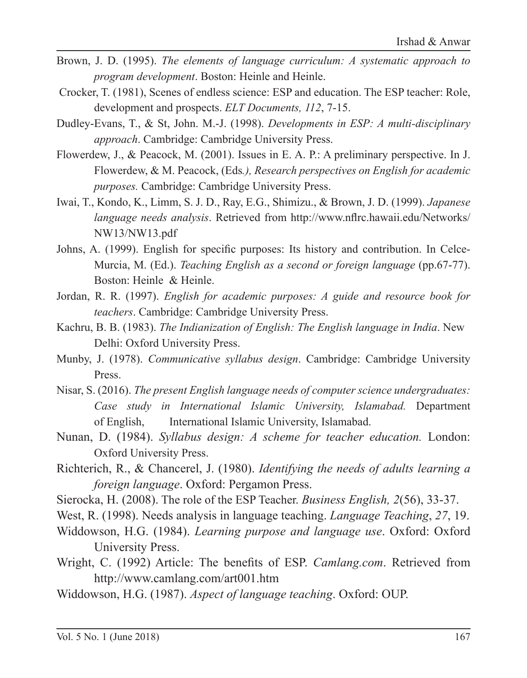- Brown, J. D. (1995). *The elements of language curriculum: A systematic approach to program development*. Boston: Heinle and Heinle.
- Crocker, T. (1981), Scenes of endless science: ESP and education. The ESP teacher: Role, development and prospects. *ELT Documents, 112*, 7-15.
- Dudley-Evans, T., & St, John. M.-J. (1998). *Developments in ESP: A multi-disciplinary approach*. Cambridge: Cambridge University Press.
- Flowerdew, J., & Peacock, M. (2001). Issues in E. A. P.: A preliminary perspective. In J. Flowerdew, & M. Peacock, (Eds*.), Research perspectives on English for academic purposes.* Cambridge: Cambridge University Press.
- Iwai, T., Kondo, K., Limm, S. J. D., Ray, E.G., Shimizu., & Brown, J. D. (1999). *Japanese language needs analysis*. Retrieved from http://www.nflrc.hawaii.edu/Networks/ NW13/NW13.pdf
- Johns, A. (1999). English for specific purposes: Its history and contribution. In Celce-Murcia, M. (Ed.). *Teaching English as a second or foreign language* (pp.67-77). Boston: Heinle & Heinle.
- Jordan, R. R. (1997). *English for academic purposes: A guide and resource book for teachers*. Cambridge: Cambridge University Press.
- Kachru, B. B. (1983). *The Indianization of English: The English language in India*. New Delhi: Oxford University Press.
- Munby, J. (1978). *Communicative syllabus design*. Cambridge: Cambridge University Press.
- Nisar, S. (2016). *The present English language needs of computer science undergraduates: Case study in International Islamic University, Islamabad.* Department of English, International Islamic University, Islamabad.
- Nunan, D. (1984). *Syllabus design: A scheme for teacher education.* London: Oxford University Press.
- Richterich, R., & Chancerel, J. (1980). *Identifying the needs of adults learning a foreign language*. Oxford: Pergamon Press.
- Sierocka, H. (2008). The role of the ESP Teacher. *Business English, 2*(56), 33-37.
- West, R. (1998). Needs analysis in language teaching. *Language Teaching*, *27*, 19.
- Widdowson, H.G. (1984). *Learning purpose and language use*. Oxford: Oxford University Press.
- Wright, C. (1992) Article: The benefits of ESP. *Camlang.com*. Retrieved from http://www.camlang.com/art001.htm
- Widdowson, H.G. (1987). *Aspect of language teaching*. Oxford: OUP.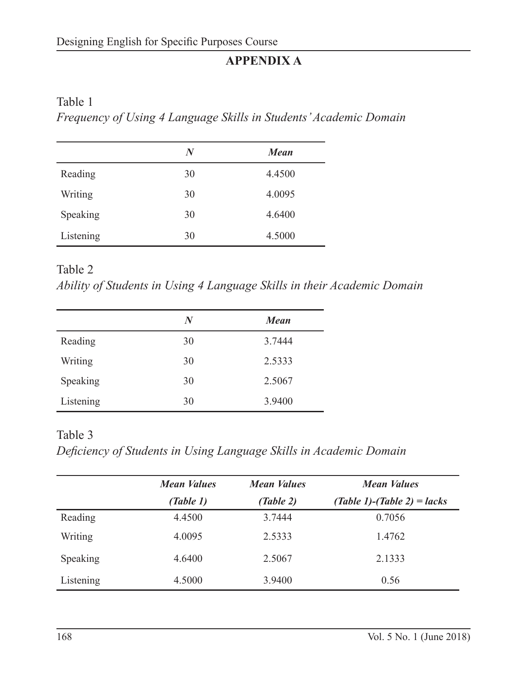# **APPENDIX A**

#### Table 1

*Frequency of Using 4 Language Skills in Students' Academic Domain*

|           | N  | <b>Mean</b> |
|-----------|----|-------------|
| Reading   | 30 | 4.4500      |
| Writing   | 30 | 4.0095      |
| Speaking  | 30 | 4.6400      |
| Listening | 30 | 4.5000      |

Table 2

*Ability of Students in Using 4 Language Skills in their Academic Domain*

|           | N  | <b>Mean</b> |
|-----------|----|-------------|
| Reading   | 30 | 3.7444      |
| Writing   | 30 | 2.5333      |
| Speaking  | 30 | 2.5067      |
| Listening | 30 | 3.9400      |

### Table 3

*Deficiency of Students in Using Language Skills in Academic Domain*

|           | <b>Mean Values</b> | <b>Mean Values</b> | <b>Mean Values</b>                |
|-----------|--------------------|--------------------|-----------------------------------|
|           | (Table 1)          | (Table 2)          | $(Table 1)$ - $(Table 2)$ = lacks |
| Reading   | 4.4500             | 3.7444             | 0.7056                            |
| Writing   | 4.0095             | 2.5333             | 1.4762                            |
| Speaking  | 4.6400             | 2.5067             | 2.1333                            |
| Listening | 4.5000             | 3.9400             | 0.56                              |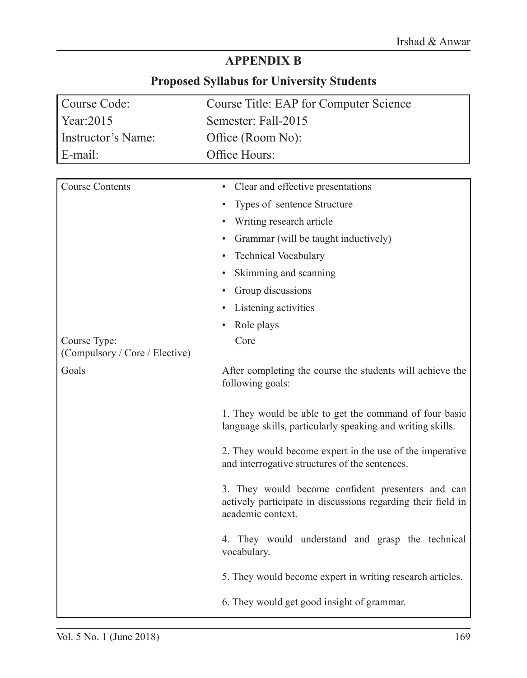# **APPENDIX B**

# **Proposed Syllabus for University Students**

| Course Code:                   | Course Title: EAP for Computer Science                                                                                                 |
|--------------------------------|----------------------------------------------------------------------------------------------------------------------------------------|
| Year:2015                      | Semester: Fall-2015                                                                                                                    |
| Instructor's Name:             | Office (Room No):                                                                                                                      |
| E-mail:                        | Office Hours:                                                                                                                          |
|                                |                                                                                                                                        |
| <b>Course Contents</b>         | Clear and effective presentations                                                                                                      |
|                                | Types of sentence Structure                                                                                                            |
|                                | Writing research article                                                                                                               |
|                                | Grammar (will be taught inductively)                                                                                                   |
|                                | <b>Technical Vocabulary</b>                                                                                                            |
|                                | Skimming and scanning                                                                                                                  |
|                                | Group discussions                                                                                                                      |
|                                | Listening activities                                                                                                                   |
|                                | Role plays                                                                                                                             |
| Course Type:                   | Core                                                                                                                                   |
| (Compulsory / Core / Elective) |                                                                                                                                        |
| Goals                          | After completing the course the students will achieve the<br>following goals:                                                          |
|                                | 1. They would be able to get the command of four basic<br>language skills, particularly speaking and writing skills.                   |
|                                | 2. They would become expert in the use of the imperative<br>and interrogative structures of the sentences.                             |
|                                | 3. They would become confident presenters and can<br>actively participate in discussions regarding their field in<br>academic context. |
|                                | 4. They would understand and grasp the technical<br>vocabulary.                                                                        |
|                                | 5. They would become expert in writing research articles.                                                                              |
|                                | 6. They would get good insight of grammar.                                                                                             |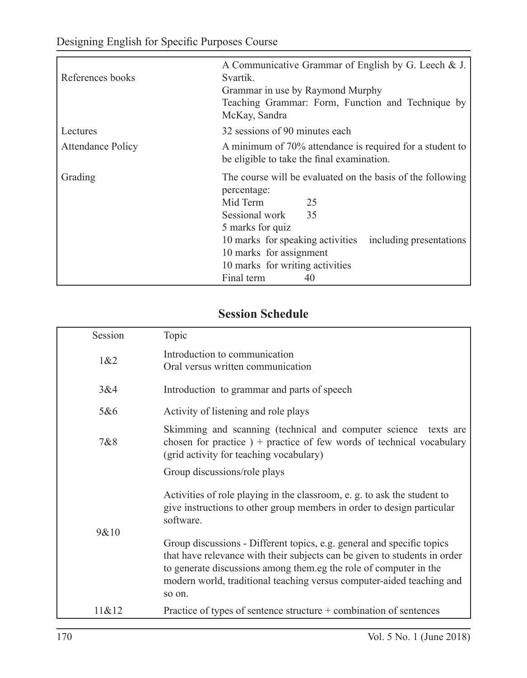| References books         | A Communicative Grammar of English by G. Leech & J.<br>Svartik.<br>Grammar in use by Raymond Murphy<br>Teaching Grammar: Form, Function and Technique by<br>McKay, Sandra                                                                                                                |
|--------------------------|------------------------------------------------------------------------------------------------------------------------------------------------------------------------------------------------------------------------------------------------------------------------------------------|
| Lectures                 | 32 sessions of 90 minutes each                                                                                                                                                                                                                                                           |
| <b>Attendance Policy</b> | A minimum of 70% attendance is required for a student to<br>be eligible to take the final examination.                                                                                                                                                                                   |
| Grading                  | The course will be evaluated on the basis of the following<br>percentage:<br>Mid Term<br>25<br>Sessional work<br>35<br>5 marks for quiz<br>10 marks for speaking activities<br>including presentations<br>10 marks for assignment<br>10 marks for writing activities<br>Final term<br>40 |

## **Session Schedule**

| Session | Topic                                                                                                                                                                                                                                                                                                       |
|---------|-------------------------------------------------------------------------------------------------------------------------------------------------------------------------------------------------------------------------------------------------------------------------------------------------------------|
| 1&82    | Introduction to communication<br>Oral versus written communication                                                                                                                                                                                                                                          |
| 3&4     | Introduction to grammar and parts of speech                                                                                                                                                                                                                                                                 |
| 5&6     | Activity of listening and role plays                                                                                                                                                                                                                                                                        |
| 7&8     | Skimming and scanning (technical and computer science texts are<br>chosen for practice $) +$ practice of few words of technical vocabulary<br>(grid activity for teaching vocabulary)                                                                                                                       |
|         | Group discussions/role plays                                                                                                                                                                                                                                                                                |
|         | Activities of role playing in the classroom, e. g. to ask the student to<br>give instructions to other group members in order to design particular<br>software.                                                                                                                                             |
| 9&10    | Group discussions - Different topics, e.g. general and specific topics<br>that have relevance with their subjects can be given to students in order<br>to generate discussions among them eg the role of computer in the<br>modern world, traditional teaching versus computer-aided teaching and<br>so on. |
| 11&12   | Practice of types of sentence structure $+$ combination of sentences                                                                                                                                                                                                                                        |